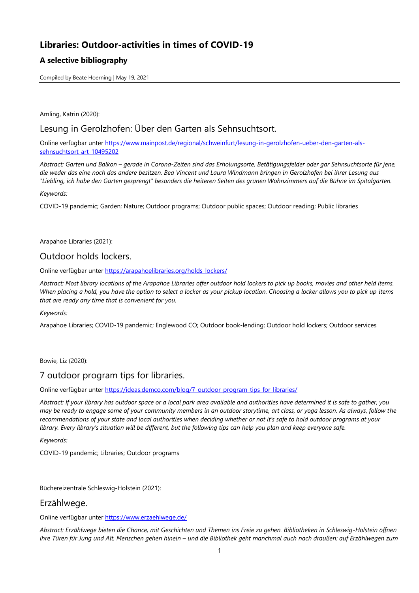# **Libraries: Outdoor-activities in times of COVID-19**

## **A selective bibliography**

Compiled by Beate Hoerning | May 19, 2021

Amling, Katrin (2020):

## Lesung in Gerolzhofen: Über den Garten als Sehnsuchtsort.

Online verfügbar unter [https://www.mainpost.de/regional/schweinfurt/lesung-in-gerolzhofen-ueber-den-garten-als](https://www.mainpost.de/regional/schweinfurt/lesung-in-gerolzhofen-ueber-den-garten-als-sehnsuchtsort-art-10495202)[sehnsuchtsort-art-10495202](https://www.mainpost.de/regional/schweinfurt/lesung-in-gerolzhofen-ueber-den-garten-als-sehnsuchtsort-art-10495202)

*Abstract: Garten und Balkon – gerade in Corona-Zeiten sind das Erholungsorte, Betätigungsfelder oder gar Sehnsuchtsorte für jene, die weder das eine noch das andere besitzen. Bea Vincent und Laura Windmann bringen in Gerolzhofen bei ihrer Lesung aus "Liebling, ich habe den Garten gesprengt" besonders die heiteren Seiten des grünen Wohnzimmers auf die Bühne im Spitalgarten.*

*Keywords:*

COVID-19 pandemic; Garden; Nature; Outdoor programs; Outdoor public spaces; Outdoor reading; Public libraries

Arapahoe Libraries (2021):

## Outdoor holds lockers.

Online verfügbar unter<https://arapahoelibraries.org/holds-lockers/>

*Abstract: Most library locations of the Arapahoe Libraries offer outdoor hold lockers to pick up books, movies and other held items. When placing a hold, you have the option to select a locker as your pickup location. Choosing a locker allows you to pick up items that are ready any time that is convenient for you.*

*Keywords:*

Arapahoe Libraries; COVID-19 pandemic; Englewood CO; Outdoor book-lending; Outdoor hold lockers; Outdoor services

Bowie, Liz (2020):

# 7 outdoor program tips for libraries.

Online verfügbar unter<https://ideas.demco.com/blog/7-outdoor-program-tips-for-libraries/>

*Abstract: If your library has outdoor space or a local park area available and authorities have determined it is safe to gather, you may be ready to engage some of your community members in an outdoor storytime, art class, or yoga lesson. As always, follow the recommendations of your state and local authorities when deciding whether or not it's safe to hold outdoor programs at your*  library. Every library's situation will be different, but the following tips can help you plan and keep everyone safe.

*Keywords:*

COVID-19 pandemic; Libraries; Outdoor programs

Büchereizentrale Schleswig-Holstein (2021):

## Erzählwege.

Online verfügbar unter<https://www.erzaehlwege.de/>

*Abstract: Erzählwege bieten die Chance, mit Geschichten und Themen ins Freie zu gehen. Bibliotheken in Schleswig-Holstein öffnen ihre Türen für Jung und Alt. Menschen gehen hinein – und die Bibliothek geht manchmal auch nach draußen: auf Erzählwegen zum*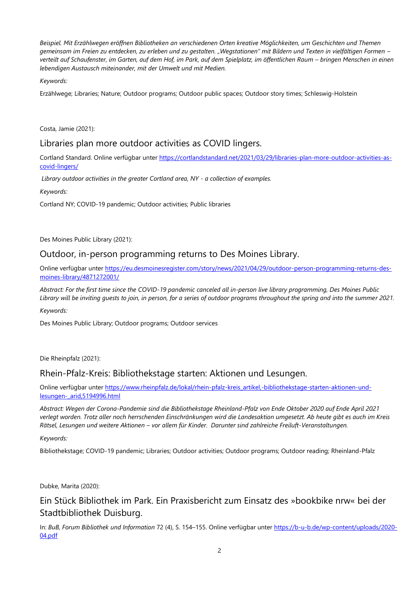*Beispiel. Mit Erzählwegen eröffnen Bibliotheken an verschiedenen Orten kreative Möglichkeiten, um Geschichten und Themen gemeinsam im Freien zu entdecken, zu erleben und zu gestalten. "Wegstationen" mit Bildern und Texten in vielfältigen Formen – verteilt auf Schaufenster, im Garten, auf dem Hof, im Park, auf dem Spielplatz, im öffentlichen Raum – bringen Menschen in einen lebendigen Austausch miteinander, mit der Umwelt und mit Medien.*

### *Keywords:*

Erzählwege; Libraries; Nature; Outdoor programs; Outdoor public spaces; Outdoor story times; Schleswig-Holstein

Costa, Jamie (2021):

## Libraries plan more outdoor activities as COVID lingers.

Cortland Standard. Online verfügbar unter [https://cortlandstandard.net/2021/03/29/libraries-plan-more-outdoor-activities-as](https://cortlandstandard.net/2021/03/29/libraries-plan-more-outdoor-activities-as-covid-lingers/)[covid-lingers/](https://cortlandstandard.net/2021/03/29/libraries-plan-more-outdoor-activities-as-covid-lingers/)

*Library outdoor activities in the greater Cortland area, NY - a collection of examples.*

*Keywords:*

Cortland NY; COVID-19 pandemic; Outdoor activities; Public libraries

Des Moines Public Library (2021):

## Outdoor, in-person programming returns to Des Moines Library.

Online verfügbar unter [https://eu.desmoinesregister.com/story/news/2021/04/29/outdoor-person-programming-returns-des](https://eu.desmoinesregister.com/story/news/2021/04/29/outdoor-person-programming-returns-des-moines-library/4871272001/)[moines-library/4871272001/](https://eu.desmoinesregister.com/story/news/2021/04/29/outdoor-person-programming-returns-des-moines-library/4871272001/)

*Abstract: For the first time since the COVID-19 pandemic canceled all in-person live library programming, Des Moines Public Library will be inviting guests to join, in person, for a series of outdoor programs throughout the spring and into the summer 2021.*

*Keywords:*

Des Moines Public Library; Outdoor programs; Outdoor services

Die Rheinpfalz (2021):

## Rhein-Pfalz-Kreis: Bibliothekstage starten: Aktionen und Lesungen.

Online verfügbar unter [https://www.rheinpfalz.de/lokal/rhein-pfalz-kreis\\_artikel,-bibliothekstage-starten-aktionen-und](https://www.rheinpfalz.de/lokal/rhein-pfalz-kreis_artikel,-bibliothekstage-starten-aktionen-und-lesungen-_arid,5194996.html)[lesungen-\\_arid,5194996.html](https://www.rheinpfalz.de/lokal/rhein-pfalz-kreis_artikel,-bibliothekstage-starten-aktionen-und-lesungen-_arid,5194996.html)

*Abstract: Wegen der Corona-Pandemie sind die Bibliothekstage Rheinland-Pfalz von Ende Oktober 2020 auf Ende April 2021 verlegt worden. Trotz aller noch herrschenden Einschränkungen wird die Landesaktion umgesetzt. Ab heute gibt es auch im Kreis Rätsel, Lesungen und weitere Aktionen – vor allem für Kinder. Darunter sind zahlreiche Freiluft-Veranstaltungen.*

*Keywords:*

Bibliothekstage; COVID-19 pandemic; Libraries; Outdoor activities; Outdoor programs; Outdoor reading; Rheinland-Pfalz

Dubke, Marita (2020):

Ein Stück Bibliothek im Park. Ein Praxisbericht zum Einsatz des »bookbike nrw« bei der Stadtbibliothek Duisburg.

In: *BuB, Forum Bibliothek und Information* 72 (4), S. 154–155. Online verfügbar unter [https://b-u-b.de/wp-content/uploads/2020-](https://b-u-b.de/wp-content/uploads/2020-04.pdf) [04.pdf](https://b-u-b.de/wp-content/uploads/2020-04.pdf)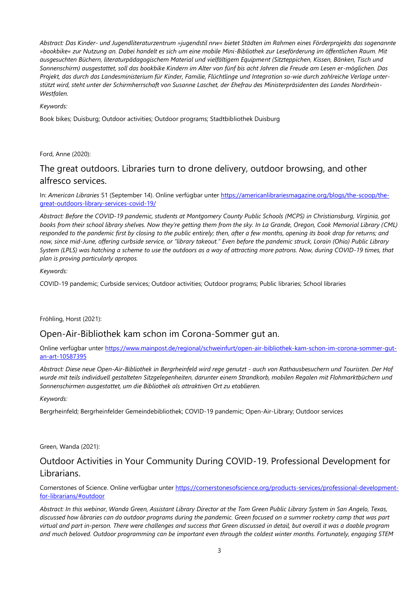*Abstract: Das Kinder- und Jugendliteraturzentrum »jugendstil nrw« bietet Städten im Rahmen eines Förderprojekts das sogenannte »bookbike« zur Nutzung an. Dabei handelt es sich um eine mobile Mini-Bibliothek zur Leseförderung im öffentlichen Raum. Mit ausgesuchten Büchern, literaturpädagogischem Material und vielfältigem Equipment (Sitzteppichen, Kissen, Bänken, Tisch und Sonnenschirm) ausgestattet, soll das bookbike Kindern im Alter von fünf bis acht Jahren die Freude am Lesen er-möglichen. Das Projekt, das durch das Landesministerium für Kinder, Familie, Flüchtlinge und Integration so-wie durch zahlreiche Verlage unterstützt wird, steht unter der Schirmherrschaft von Susanne Laschet, der Ehefrau des Ministerpräsidenten des Landes Nordrhein-Westfalen.*

#### *Keywords:*

Book bikes; Duisburg; Outdoor activities; Outdoor programs; Stadtbibliothek Duisburg

Ford, Anne (2020):

# The great outdoors. Libraries turn to drone delivery, outdoor browsing, and other alfresco services.

In: *American Libraries* 51 (September 14). Online verfügbar unter [https://americanlibrariesmagazine.org/blogs/the-scoop/the](https://americanlibrariesmagazine.org/blogs/the-scoop/the-great-outdoors-library-services-covid-19/)[great-outdoors-library-services-covid-19/](https://americanlibrariesmagazine.org/blogs/the-scoop/the-great-outdoors-library-services-covid-19/)

*Abstract: Before the COVID-19 pandemic, students at Montgomery County Public Schools (MCPS) in Christiansburg, Virginia, got books from their school library shelves. Now they're getting them from the sky. In La Grande, Oregon, Cook Memorial Library (CML) responded to the pandemic first by closing to the public entirely; then, after a few months, opening its book drop for returns; and now, since mid-June, offering curbside service, or "library takeout." Even before the pandemic struck, Lorain (Ohio) Public Library System (LPLS) was hatching a scheme to use the outdoors as a way of attracting more patrons. Now, during COVID-19 times, that plan is proving particularly apropos.*

#### *Keywords:*

COVID-19 pandemic; Curbside services; Outdoor activities; Outdoor programs; Public libraries; School libraries

Fröhling, Horst (2021):

## Open-Air-Bibliothek kam schon im Corona-Sommer gut an.

Online verfügbar unter [https://www.mainpost.de/regional/schweinfurt/open-air-bibliothek-kam-schon-im-corona-sommer-gut](https://www.mainpost.de/regional/schweinfurt/open-air-bibliothek-kam-schon-im-corona-sommer-gut-an-art-10587395)[an-art-10587395](https://www.mainpost.de/regional/schweinfurt/open-air-bibliothek-kam-schon-im-corona-sommer-gut-an-art-10587395)

*Abstract: Diese neue Open-Air-Bibliothek in Bergrheinfeld wird rege genutzt - auch von Rathausbesuchern und Touristen. Der Hof wurde mit teils individuell gestalteten Sitzgelegenheiten, darunter einem Strandkorb, mobilen Regalen mit Flohmarktbüchern und Sonnenschirmen ausgestattet, um die Bibliothek als attraktiven Ort zu etablieren.*

#### *Keywords:*

Bergrheinfeld; Bergrheinfelder Gemeindebibliothek; COVID-19 pandemic; Open-Air-Library; Outdoor services

Green, Wanda (2021):

# Outdoor Activities in Your Community During COVID-19. Professional Development for Librarians.

Cornerstones of Science. Online verfügbar unter [https://cornerstonesofscience.org/products-services/professional-development](https://cornerstonesofscience.org/products-services/professional-development-for-librarians/#outdoor)[for-librarians/#outdoor](https://cornerstonesofscience.org/products-services/professional-development-for-librarians/#outdoor)

*Abstract: In this webinar, Wanda Green, Assistant Library Director at the Tom Green Public Library System in San Angelo, Texas, discussed how libraries can do outdoor programs during the pandemic. Green focused on a summer rocketry camp that was part virtual and part in-person. There were challenges and success that Green discussed in detail, but overall it was a doable program and much beloved. Outdoor programming can be important even through the coldest winter months. Fortunately, engaging STEM*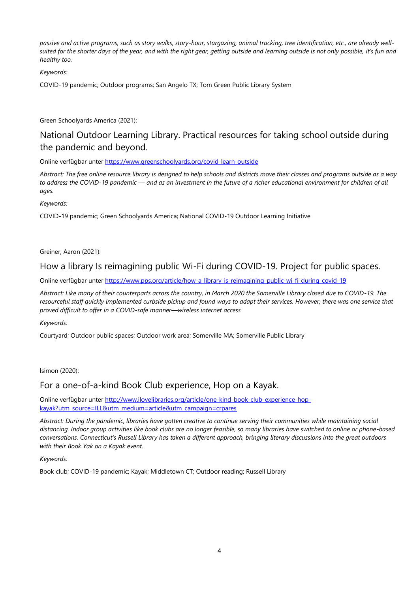*passive and active programs, such as story walks, story-hour, stargazing, animal tracking, tree identification, etc., are already wellsuited for the shorter days of the year, and with the right gear, getting outside and learning outside is not only possible, it's fun and healthy too.*

### *Keywords:*

COVID-19 pandemic; Outdoor programs; San Angelo TX; Tom Green Public Library System

Green Schoolyards America (2021):

# National Outdoor Learning Library. Practical resources for taking school outside during the pandemic and beyond.

Online verfügbar unter<https://www.greenschoolyards.org/covid-learn-outside>

*Abstract: The free online resource library is designed to help schools and districts move their classes and programs outside as a way to address the COVID-19 pandemic — and as an investment in the future of a richer educational environment for children of all ages.* 

*Keywords:*

COVID-19 pandemic; Green Schoolyards America; National COVID-19 Outdoor Learning Initiative

Greiner, Aaron (2021):

## How a library Is reimagining public Wi-Fi during COVID-19. Project for public spaces.

Online verfügbar unter<https://www.pps.org/article/how-a-library-is-reimagining-public-wi-fi-during-covid-19>

*Abstract: Like many of their counterparts across the country, in March 2020 the Somerville Library closed due to COVID-19. The resourceful staff quickly implemented curbside pickup and found ways to adapt their services. However, there was one service that proved difficult to offer in a COVID-safe manner—wireless internet access.*

*Keywords:*

Courtyard; Outdoor public spaces; Outdoor work area; Somerville MA; Somerville Public Library

lsimon (2020):

## For a one-of-a-kind Book Club experience, Hop on a Kayak.

Online verfügbar unter [http://www.ilovelibraries.org/article/one-kind-book-club-experience-hop](http://www.ilovelibraries.org/article/one-kind-book-club-experience-hop-kayak?utm_source=ILL&utm_medium=article&utm_campaign=crpares)[kayak?utm\\_source=ILL&utm\\_medium=article&utm\\_campaign=crpares](http://www.ilovelibraries.org/article/one-kind-book-club-experience-hop-kayak?utm_source=ILL&utm_medium=article&utm_campaign=crpares)

*Abstract: During the pandemic, libraries have gotten creative to continue serving their communities while maintaining social distancing. Indoor group activities like book clubs are no longer feasible, so many libraries have switched to online or phone-based conversations. Connecticut's Russell Library has taken a different approach, bringing literary discussions into the great outdoors with their Book Yak on a Kayak event.*

*Keywords:*

Book club; COVID-19 pandemic; Kayak; Middletown CT; Outdoor reading; Russell Library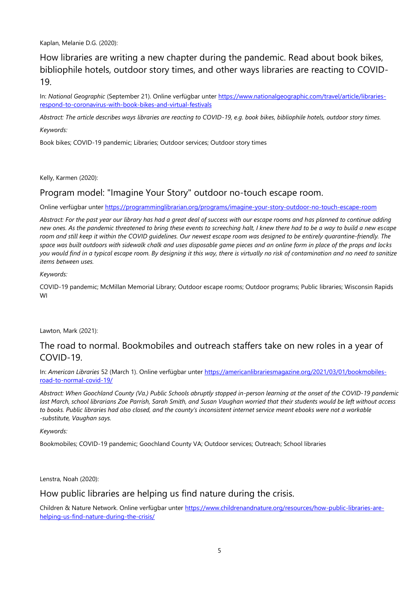Kaplan, Melanie D.G. (2020):

How libraries are writing a new chapter during the pandemic. Read about book bikes, bibliophile hotels, outdoor story times, and other ways libraries are reacting to COVID-19.

In: *National Geographic* (September 21). Online verfügbar unter [https://www.nationalgeographic.com/travel/article/libraries](https://www.nationalgeographic.com/travel/article/libraries-respond-to-coronavirus-with-book-bikes-and-virtual-festivals)[respond-to-coronavirus-with-book-bikes-and-virtual-festivals](https://www.nationalgeographic.com/travel/article/libraries-respond-to-coronavirus-with-book-bikes-and-virtual-festivals)

*Abstract: The article describes ways libraries are reacting to COVID-19, e.g. book bikes, bibliophile hotels, outdoor story times.* 

*Keywords:*

Book bikes; COVID-19 pandemic; Libraries; Outdoor services; Outdoor story times

Kelly, Karmen (2020):

## Program model: "Imagine Your Story" outdoor no-touch escape room.

Online verfügbar unter<https://programminglibrarian.org/programs/imagine-your-story-outdoor-no-touch-escape-room>

*Abstract: For the past year our library has had a great deal of success with our escape rooms and has planned to continue adding new ones. As the pandemic threatened to bring these events to screeching halt, I knew there had to be a way to build a new escape room and still keep it within the COVID guidelines. Our newest escape room was designed to be entirely quarantine-friendly. The space was built outdoors with sidewalk chalk and uses disposable game pieces and an online form in place of the props and locks you would find in a typical escape room. By designing it this way, there is virtually no risk of contamination and no need to sanitize items between uses.*

*Keywords:*

COVID-19 pandemic; McMillan Memorial Library; Outdoor escape rooms; Outdoor programs; Public libraries; Wisconsin Rapids WI

Lawton, Mark (2021):

## The road to normal. Bookmobiles and outreach staffers take on new roles in a year of COVID-19.

In: *American Libraries* 52 (March 1). Online verfügbar unter [https://americanlibrariesmagazine.org/2021/03/01/bookmobiles](https://americanlibrariesmagazine.org/2021/03/01/bookmobiles-road-to-normal-covid-19/)[road-to-normal-covid-19/](https://americanlibrariesmagazine.org/2021/03/01/bookmobiles-road-to-normal-covid-19/)

*Abstract: When Goochland County (Va.) Public Schools abruptly stopped in-person learning at the onset of the COVID-19 pandemic last March, school librarians Zoe Parrish, Sarah Smith, and Susan Vaughan worried that their students would be left without access to books. Public libraries had also closed, and the county's inconsistent internet service meant ebooks were not a workable -substitute, Vaughan says.*

#### *Keywords:*

Bookmobiles; COVID-19 pandemic; Goochland County VA; Outdoor services; Outreach; School libraries

Lenstra, Noah (2020):

How public libraries are helping us find nature during the crisis.

Children & Nature Network. Online verfügbar unter [https://www.childrenandnature.org/resources/how-public-libraries-are](https://www.childrenandnature.org/resources/how-public-libraries-are-helping-us-find-nature-during-the-crisis/)[helping-us-find-nature-during-the-crisis/](https://www.childrenandnature.org/resources/how-public-libraries-are-helping-us-find-nature-during-the-crisis/)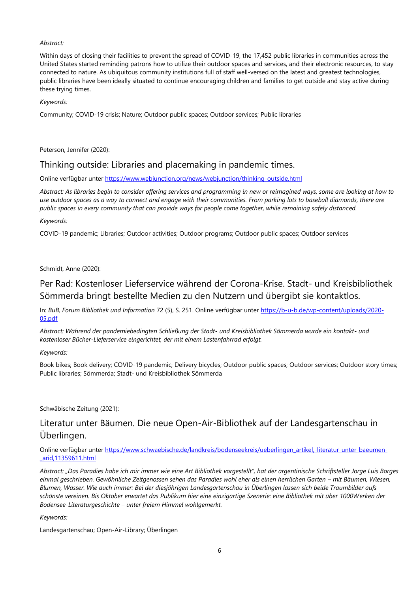#### *Abstract:*

Within days of closing their facilities to prevent the spread of COVID-19, the 17,452 public libraries in communities across the United States started reminding patrons how to utilize their outdoor spaces and services, and their electronic resources, to stay connected to nature. As ubiquitous community institutions full of staff well-versed on the latest and greatest technologies, public libraries have been ideally situated to continue encouraging children and families to get outside and stay active during these trying times.

#### *Keywords:*

Community; COVID-19 crisis; Nature; Outdoor public spaces; Outdoor services; Public libraries

Peterson, Jennifer (2020):

## Thinking outside: Libraries and placemaking in pandemic times.

Online verfügbar unter<https://www.webjunction.org/news/webjunction/thinking-outside.html>

*Abstract: As libraries begin to consider offering services and programming in new or reimagined ways, some are looking at how to use outdoor spaces as a way to connect and engage with their communities. From parking lots to baseball diamonds, there are public spaces in every community that can provide ways for people come together, while remaining safely distanced.*

#### *Keywords:*

COVID-19 pandemic; Libraries; Outdoor activities; Outdoor programs; Outdoor public spaces; Outdoor services

#### Schmidt, Anne (2020):

## Per Rad: Kostenloser Lieferservice während der Corona-Krise. Stadt- und Kreisbibliothek Sömmerda bringt bestellte Medien zu den Nutzern und übergibt sie kontaktlos.

In: *BuB, Forum Bibliothek und Information* 72 (5), S. 251. Online verfügbar unter [https://b-u-b.de/wp-content/uploads/2020-](https://b-u-b.de/wp-content/uploads/2020-05.pdf) [05.pdf](https://b-u-b.de/wp-content/uploads/2020-05.pdf)

*Abstract: Während der pandemiebedingten Schließung der Stadt- und Kreisbibliothek Sömmerda wurde ein kontakt- und kostenloser Bücher-Lieferservice eingerichtet, der mit einem Lastenfahrrad erfolgt.*

#### *Keywords:*

Book bikes; Book delivery; COVID-19 pandemic; Delivery bicycles; Outdoor public spaces; Outdoor services; Outdoor story times; Public libraries; Sömmerda; Stadt- und Kreisbibliothek Sömmerda

Schwäbische Zeitung (2021):

# Literatur unter Bäumen. Die neue Open-Air-Bibliothek auf der Landesgartenschau in Überlingen.

Online verfügbar unter [https://www.schwaebische.de/landkreis/bodenseekreis/ueberlingen\\_artikel,-literatur-unter-baeumen-](https://www.schwaebische.de/landkreis/bodenseekreis/ueberlingen_artikel,-literatur-unter-baeumen-_arid,11359611.html) [\\_arid,11359611.html](https://www.schwaebische.de/landkreis/bodenseekreis/ueberlingen_artikel,-literatur-unter-baeumen-_arid,11359611.html)

*Abstract: "Das Paradies habe ich mir immer wie eine Art Bibliothek vorgestellt", hat der argentinische Schriftsteller Jorge Luis Borges einmal geschrieben. Gewöhnliche Zeitgenossen sehen das Paradies wohl eher als einen herrlichen Garten – mit Bäumen, Wiesen, Blumen, Wasser. Wie auch immer: Bei der diesjährigen Landesgartenschau in Überlingen lassen sich beide Traumbilder aufs schönste vereinen. Bis Oktober erwartet das Publikum hier eine einzigartige Szenerie: eine Bibliothek mit über 1000Werken der Bodensee-Literaturgeschichte – unter freiem Himmel wohlgemerkt.*

#### *Keywords:*

Landesgartenschau; Open-Air-Library; Überlingen